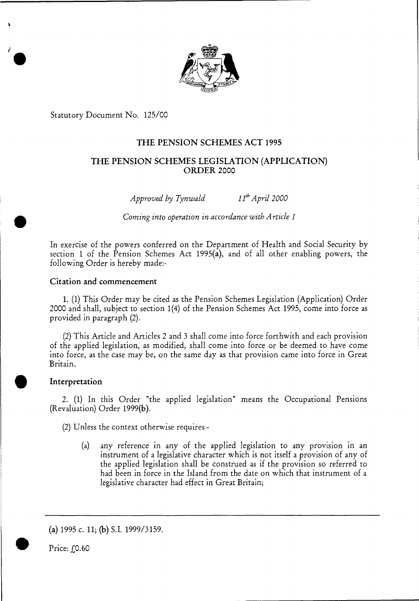

Statutory Document No. 125/00

# THE PENSION SCHEMES ACT 1995

# THE PENSION SCHEMES LEGISLATION (APPLICATION) ORDER 2000

*Approved by Tynwald 11th April 2000* 

*Coming into operation in accordance with Article 1* 

In exercise of the powers conferred on the Department of Health and Social Security by section 1 of the Pension Schemes Act 1995(a), and of all other enabling powers, the following Order is hereby made:-

# Citation and commencement

1. (1) This Order may be cited as the Pension Schemes Legislation (Application) Order 2000 and shall, subject to section 1(4) of the Pension Schemes Act 1995, come into force as provided in paragraph (2).

(2) This Article and Articles *2* and 3 shall come into force forthwith and each provision of the applied legislation, as modified, shall come into force or be deemed to have come into force, as the case may be, on the same day as that provision came into force in Great Britain.

## Interpretation

2. (1) In this Order "the applied legislation" means the Occupational Pensions (Revaluation) Order 1999(b).

(2) Unless the context otherwise requires -

(a) any reference in any of the applied legislation to any provision in an instrument of a legislative character which is not itself a provision of any of the applied legislation shall be construed as if the provision so referred to had been in force in the Island from the date on which that instrument of a legislative character had effect in Great Britain;

(a) 1995 c. 11; (b) S.I. 1999/3159.



ا<br>ا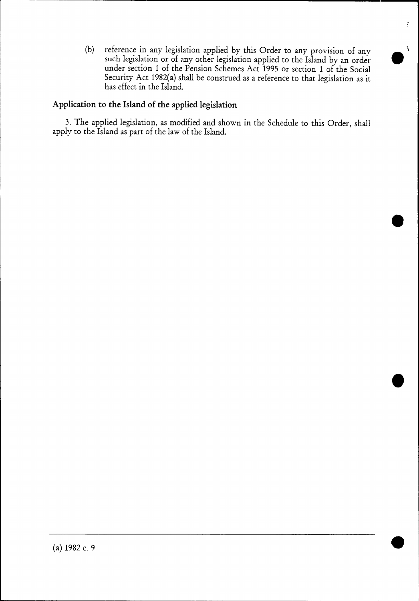(b) reference in any legislation applied by this Order to any provision of any such legislation or of any other legislation applied to the Island by an order under section 1 of the Pension Schemes Act 1995 or section 1 of the Social Security Act 1982(a) shall be construed as a reference to that legislation as it has effect in the Island.

 $\bullet$ 

 $\overline{f}$ 

•

e

# **Application to the Island of the applied legislation**

3. The applied legislation, as modified and shown in the Schedule to this Order, shall apply to the Island as part of the law of the Island.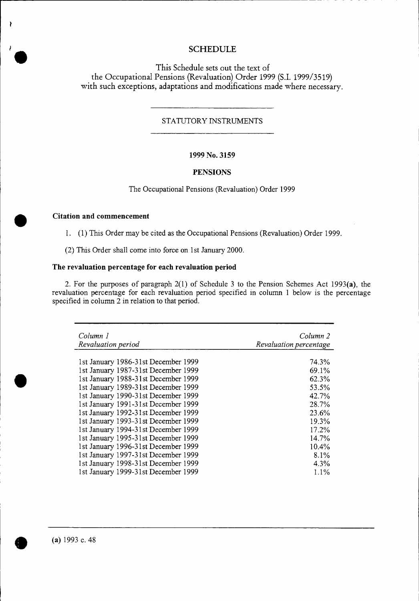# **SCHEDULE**

This Schedule sets out the text of the Occupational Pensions (Revaluation) Order 1999 (S.I. 1999/3519) with such exceptions, adaptations and modifications made where necessary.

## STATUTORY INSTRUMENTS

#### **1999 No. 3159**

#### **PENSIONS**

The Occupational Pensions (Revaluation) Order 1999

# **Citation and commencement**

P,

1. (1) This Order may be cited as the Occupational Pensions (Revaluation) Order 1999.

(2) This Order shall come into force on 1st January 2000.

## **The revaluation percentage for each revaluation period**

2. For the purposes of paragraph 2(1) of Schedule 3 to the Pension Schemes Act 1993(a), the revaluation percentage for each revaluation period specified in column 1 below is the percentage specified in column 2 in relation to that period.

| Column 1<br>Revaluation period      | Column 2<br>Revaluation percentage |
|-------------------------------------|------------------------------------|
| 1st January 1986-31st December 1999 | 74.3%                              |
| 1st January 1987-31st December 1999 | 69.1%                              |
| 1st January 1988-31st December 1999 | 62.3%                              |
| 1st January 1989-31st December 1999 | 53.5%                              |
| 1st January 1990-31st December 1999 | 42.7%                              |
| 1st January 1991-31st December 1999 | 28.7%                              |
| 1st January 1992-31st December 1999 | 23.6%                              |
| 1st January 1993-31st December 1999 | 19.3%                              |
| 1st January 1994-31st December 1999 | 17.2%                              |
| 1st January 1995-31st December 1999 | 14.7%                              |
| 1st January 1996-31st December 1999 | 10.4%                              |
| 1st January 1997-31st December 1999 | 8.1%                               |
| 1st January 1998-31st December 1999 | 4.3%                               |
| 1st January 1999-31st December 1999 | $1.1\%$                            |